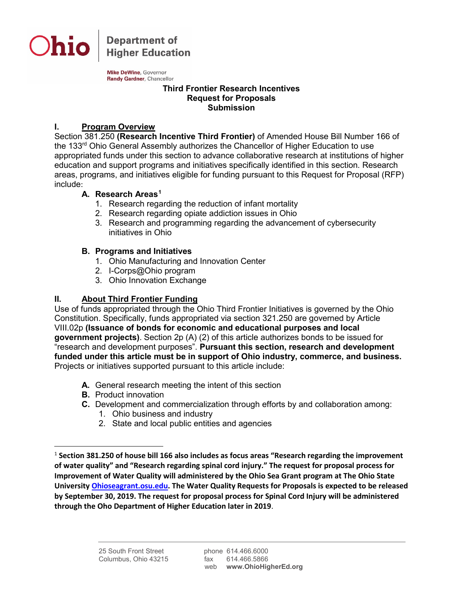

**Department of Higher Education** 

Mike DeWine, Governor Randy Gardner, Chancellor

#### **Third Frontier Research Incentives Request for Proposals Submission**

# **I. Program Overview**

Section 381.250 **(Research Incentive Third Frontier)** of Amended House Bill Number 166 of the 133<sup>rd</sup> Ohio General Assembly authorizes the Chancellor of Higher Education to use appropriated funds under this section to advance collaborative research at institutions of higher education and support programs and initiatives specifically identified in this section. Research areas, programs, and initiatives eligible for funding pursuant to this Request for Proposal (RFP) include:

#### **A. Research Areas[1](#page-0-0)**

- 1. Research regarding the reduction of infant mortality
- 2. Research regarding opiate addiction issues in Ohio
- 3. Research and programming regarding the advancement of cybersecurity initiatives in Ohio

## **B. Programs and Initiatives**

- 1. Ohio Manufacturing and Innovation Center
- 2. I-Corps@Ohio program
- 3. Ohio Innovation Exchange

# **II. About Third Frontier Funding**

Use of funds appropriated through the Ohio Third Frontier Initiatives is governed by the Ohio Constitution. Specifically, funds appropriated via section 321.250 are governed by Article VIII.02p **(Issuance of bonds for economic and educational purposes and local government projects)**. Section 2p (A) (2) of this article authorizes bonds to be issued for "research and development purposes". **Pursuant this section, research and development funded under this article must be in support of Ohio industry, commerce, and business.** Projects or initiatives supported pursuant to this article include:

- **A.** General research meeting the intent of this section
- **B.** Product innovation
- **C.** Development and commercialization through efforts by and collaboration among:
	- 1. Ohio business and industry
	- 2. State and local public entities and agencies

<span id="page-0-0"></span> <sup>1</sup> **Section 381.250 of house bill 166 also includes as focus areas "Research regarding the improvement of water quality" and "Research regarding spinal cord injury." The request for proposal process for Improvement of Water Quality will administered by the Ohio Sea Grant program at The Ohio State University [Ohioseagrant.osu.edu.](mailto:Ohioseagrant@osu.edu) The Water Quality Requests for Proposals is expected to be released by September 30, 2019. The request for proposal process for Spinal Cord Injury will be administered through the Oho Department of Higher Education later in 2019**.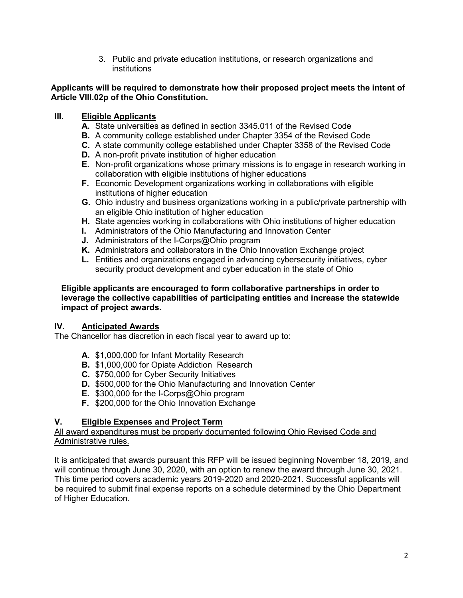3. Public and private education institutions, or research organizations and institutions

#### **Applicants will be required to demonstrate how their proposed project meets the intent of Article VIII.02p of the Ohio Constitution.**

# **III. Eligible Applicants**

- **A.** State universities as defined in section 3345.011 of the Revised Code
- **B.** A community college established under Chapter 3354 of the Revised Code
- **C.** A state community college established under Chapter 3358 of the Revised Code
- **D.** A non-profit private institution of higher education
- **E.** Non-profit organizations whose primary missions is to engage in research working in collaboration with eligible institutions of higher educations
- **F.** Economic Development organizations working in collaborations with eligible institutions of higher education
- **G.** Ohio industry and business organizations working in a public/private partnership with an eligible Ohio institution of higher education
- **H.** State agencies working in collaborations with Ohio institutions of higher education
- **I.** Administrators of the Ohio Manufacturing and Innovation Center
- **J.** Administrators of the I-Corps@Ohio program
- **K.** Administrators and collaborators in the Ohio Innovation Exchange project
- **L.** Entities and organizations engaged in advancing cybersecurity initiatives, cyber security product development and cyber education in the state of Ohio

#### **Eligible applicants are encouraged to form collaborative partnerships in order to leverage the collective capabilities of participating entities and increase the statewide impact of project awards.**

## **IV. Anticipated Awards**

The Chancellor has discretion in each fiscal year to award up to:

- **A.** \$1,000,000 for Infant Mortality Research
- **B.** \$1,000,000 for Opiate Addiction Research
- **C.** \$750,000 for Cyber Security Initiatives
- **D.** \$500,000 for the Ohio Manufacturing and Innovation Center
- **E.** \$300,000 for the I-Corps@Ohio program
- **F.** \$200,000 for the Ohio Innovation Exchange

## **V. Eligible Expenses and Project Term**

#### All award expenditures must be properly documented following Ohio Revised Code and Administrative rules.

It is anticipated that awards pursuant this RFP will be issued beginning November 18, 2019, and will continue through June 30, 2020, with an option to renew the award through June 30, 2021. This time period covers academic years 2019-2020 and 2020-2021. Successful applicants will be required to submit final expense reports on a schedule determined by the Ohio Department of Higher Education.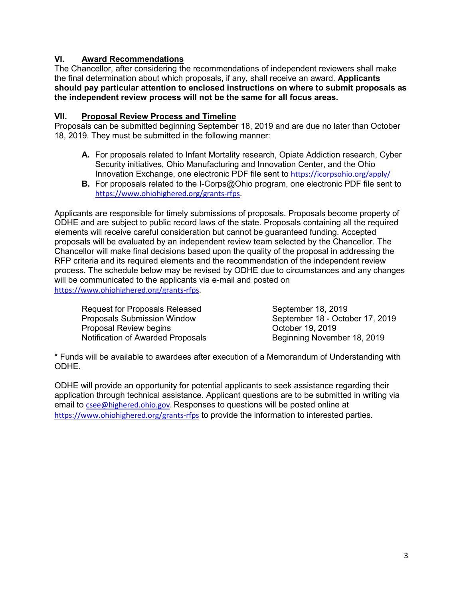# **VI. Award Recommendations**

The Chancellor, after considering the recommendations of independent reviewers shall make the final determination about which proposals, if any, shall receive an award. **Applicants should pay particular attention to enclosed instructions on where to submit proposals as the independent review process will not be the same for all focus areas.** 

## **VII. Proposal Review Process and Timeline**

Proposals can be submitted beginning September 18, 2019 and are due no later than October 18, 2019. They must be submitted in the following manner:

- **A.** For proposals related to Infant Mortality research, Opiate Addiction research, Cyber Security initiatives, Ohio Manufacturing and Innovation Center, and the Ohio Innovation Exchange, one electronic PDF file sent to [https://icorpsohio.org/apply/](https://gcc01.safelinks.protection.outlook.com/?url=https%3A%2F%2Ficorpsohio.org%2Fapply%2F&data=02%7C01%7CCsee%40highered.ohio.gov%7C46c7dee6daa245cfd0cb08d73b814f9e%7C50f8fcc494d84f0784eb36ed57c7c8a2%7C0%7C0%7C637043298878382138&sdata=yVwuW7FcpYaCwjpXMoPLlhKRObIZGZ98dGpkcnDPSt0%3D&reserved=0)
- **B.** For proposals related to the I-Corps@Ohio program, one electronic PDF file sent to [https://www.ohiohighered.org/grants-rfps.](https://www.ohiohighered.org/grants-rfps)

Applicants are responsible for timely submissions of proposals. Proposals become property of ODHE and are subject to public record laws of the state. Proposals containing all the required elements will receive careful consideration but cannot be guaranteed funding. Accepted proposals will be evaluated by an independent review team selected by the Chancellor. The Chancellor will make final decisions based upon the quality of the proposal in addressing the RFP criteria and its required elements and the recommendation of the independent review process. The schedule below may be revised by ODHE due to circumstances and any changes will be communicated to the applicants via e-mail and posted on [https://www.ohiohighered.org/grants-rfps.](https://www.ohiohighered.org/grants-rfps)

| <b>Request for Proposals Released</b> | September 18, 2019              |
|---------------------------------------|---------------------------------|
| <b>Proposals Submission Window</b>    | September 18 - October 17, 2019 |
| Proposal Review begins                | October 19, 2019                |
| Notification of Awarded Proposals     | Beginning November 18, 2019     |

\* Funds will be available to awardees after execution of a Memorandum of Understanding with ODHE.

ODHE will provide an opportunity for potential applicants to seek assistance regarding their application through technical assistance. Applicant questions are to be submitted in writing via email to [csee@highered.ohio.gov.](mailto:csee@highered.ohio.gov) Responses to questions will be posted online at <https://www.ohiohighered.org/grants-rfps> to provide the information to interested parties.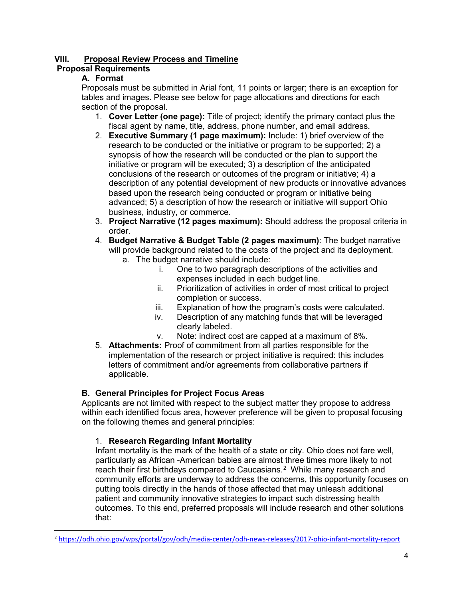# **VIII. Proposal Review Process and Timeline**

## **Proposal Requirements**

# **A. Format**

Proposals must be submitted in Arial font, 11 points or larger; there is an exception for tables and images. Please see below for page allocations and directions for each section of the proposal.

- 1. **Cover Letter (one page):** Title of project; identify the primary contact plus the fiscal agent by name, title, address, phone number, and email address.
- 2. **Executive Summary (1 page maximum):** Include: 1) brief overview of the research to be conducted or the initiative or program to be supported; 2) a synopsis of how the research will be conducted or the plan to support the initiative or program will be executed; 3) a description of the anticipated conclusions of the research or outcomes of the program or initiative; 4) a description of any potential development of new products or innovative advances based upon the research being conducted or program or initiative being advanced; 5) a description of how the research or initiative will support Ohio business, industry, or commerce.
- 3. **Project Narrative (12 pages maximum):** Should address the proposal criteria in order.
- 4. **Budget Narrative & Budget Table (2 pages maximum)**: The budget narrative will provide background related to the costs of the project and its deployment.
	- a. The budget narrative should include:
		- i. One to two paragraph descriptions of the activities and expenses included in each budget line.
		- ii. Prioritization of activities in order of most critical to project completion or success.
		- iii. Explanation of how the program's costs were calculated.
		- iv. Description of any matching funds that will be leveraged clearly labeled.
		- v. Note: indirect cost are capped at a maximum of 8%.
- 5. **Attachments:** Proof of commitment from all parties responsible for the implementation of the research or project initiative is required: this includes letters of commitment and/or agreements from collaborative partners if applicable.

## **B. General Principles for Project Focus Areas**

Applicants are not limited with respect to the subject matter they propose to address within each identified focus area, however preference will be given to proposal focusing on the following themes and general principles:

## 1. **Research Regarding Infant Mortality**

Infant mortality is the mark of the health of a state or city. Ohio does not fare well, particularly as African -American babies are almost three times more likely to not reach their first birthdays compared to Caucasians. $^2\,$  $^2\,$  $^2\,$  While many research and community efforts are underway to address the concerns, this opportunity focuses on putting tools directly in the hands of those affected that may unleash additional patient and community innovative strategies to impact such distressing health outcomes. To this end, preferred proposals will include research and other solutions that:

<span id="page-3-0"></span> <sup>2</sup> <https://odh.ohio.gov/wps/portal/gov/odh/media-center/odh-news-releases/2017-ohio-infant-mortality-report>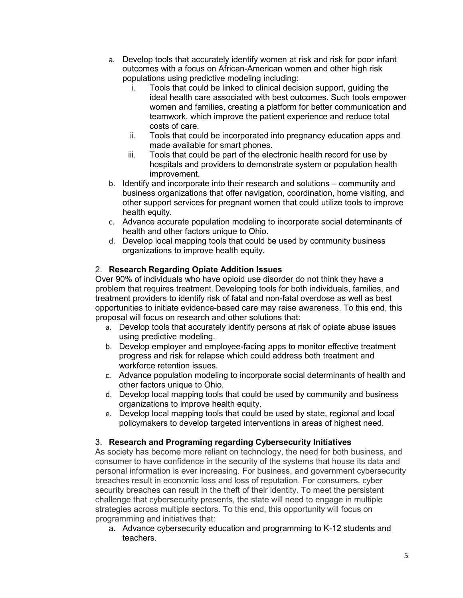- a. Develop tools that accurately identify women at risk and risk for poor infant outcomes with a focus on African-American women and other high risk populations using predictive modeling including:
	- i. Tools that could be linked to clinical decision support, guiding the ideal health care associated with best outcomes. Such tools empower women and families, creating a platform for better communication and teamwork, which improve the patient experience and reduce total costs of care.
	- ii. Tools that could be incorporated into pregnancy education apps and made available for smart phones.
	- iii. Tools that could be part of the electronic health record for use by hospitals and providers to demonstrate system or population health improvement.
- b. Identify and incorporate into their research and solutions community and business organizations that offer navigation, coordination, home visiting, and other support services for pregnant women that could utilize tools to improve health equity.
- c. Advance accurate population modeling to incorporate social determinants of health and other factors unique to Ohio.
- d. Develop local mapping tools that could be used by community business organizations to improve health equity.

## 2. **Research Regarding Opiate Addition Issues**

Over 90% of individuals who have opioid use disorder do not think they have a problem that requires treatment. Developing tools for both individuals, families, and treatment providers to identify risk of fatal and non-fatal overdose as well as best opportunities to initiate evidence-based care may raise awareness. To this end, this proposal will focus on research and other solutions that:

- a. Develop tools that accurately identify persons at risk of opiate abuse issues using predictive modeling.
- b. Develop employer and employee-facing apps to monitor effective treatment progress and risk for relapse which could address both treatment and workforce retention issues.
- c. Advance population modeling to incorporate social determinants of health and other factors unique to Ohio.
- d. Develop local mapping tools that could be used by community and business organizations to improve health equity.
- e. Develop local mapping tools that could be used by state, regional and local policymakers to develop targeted interventions in areas of highest need.

## 3. **Research and Programing regarding Cybersecurity Initiatives**

As society has become more reliant on technology, the need for both business, and consumer to have confidence in the security of the systems that house its data and personal information is ever increasing. For business, and government cybersecurity breaches result in economic loss and loss of reputation. For consumers, cyber security breaches can result in the theft of their identity. To meet the persistent challenge that cybersecurity presents, the state will need to engage in multiple strategies across multiple sectors. To this end, this opportunity will focus on programming and initiatives that:

a. Advance cybersecurity education and programming to K-12 students and teachers.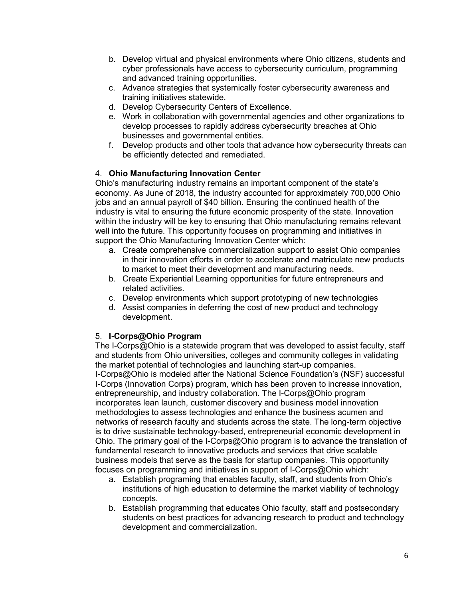- b. Develop virtual and physical environments where Ohio citizens, students and cyber professionals have access to cybersecurity curriculum, programming and advanced training opportunities.
- c. Advance strategies that systemically foster cybersecurity awareness and training initiatives statewide.
- d. Develop Cybersecurity Centers of Excellence.
- e. Work in collaboration with governmental agencies and other organizations to develop processes to rapidly address cybersecurity breaches at Ohio businesses and governmental entities.
- f. Develop products and other tools that advance how cybersecurity threats can be efficiently detected and remediated.

## 4. **Ohio Manufacturing Innovation Center**

Ohio's manufacturing industry remains an important component of the state's economy. As June of 2018, the industry accounted for approximately 700,000 Ohio jobs and an annual payroll of \$40 billion. Ensuring the continued health of the industry is vital to ensuring the future economic prosperity of the state. Innovation within the industry will be key to ensuring that Ohio manufacturing remains relevant well into the future. This opportunity focuses on programming and initiatives in support the Ohio Manufacturing Innovation Center which:

- a. Create comprehensive commercialization support to assist Ohio companies in their innovation efforts in order to accelerate and matriculate new products to market to meet their development and manufacturing needs.
- b. Create Experiential Learning opportunities for future entrepreneurs and related activities.
- c. Develop environments which support prototyping of new technologies
- d. Assist companies in deferring the cost of new product and technology development.

## 5. **I-Corps@Ohio Program**

The I-Corps@Ohio is a statewide program that was developed to assist faculty, staff and students from Ohio universities, colleges and community colleges in validating the market potential of technologies and launching start-up companies. I-Corps@Ohio is modeled after the National Science Foundation's (NSF) successful I-Corps (Innovation Corps) program, which has been proven to increase innovation, entrepreneurship, and industry collaboration. The I-Corps@Ohio program incorporates lean launch, customer discovery and business model innovation methodologies to assess technologies and enhance the business acumen and networks of research faculty and students across the state. The long-term objective is to drive sustainable technology-based, entrepreneurial economic development in Ohio. The primary goal of the I-Corps@Ohio program is to advance the translation of fundamental research to innovative products and services that drive scalable business models that serve as the basis for startup companies. This opportunity focuses on programming and initiatives in support of I-Corps@Ohio which:

- a. Establish programing that enables faculty, staff, and students from Ohio's institutions of high education to determine the market viability of technology concepts.
- b. Establish programming that educates Ohio faculty, staff and postsecondary students on best practices for advancing research to product and technology development and commercialization.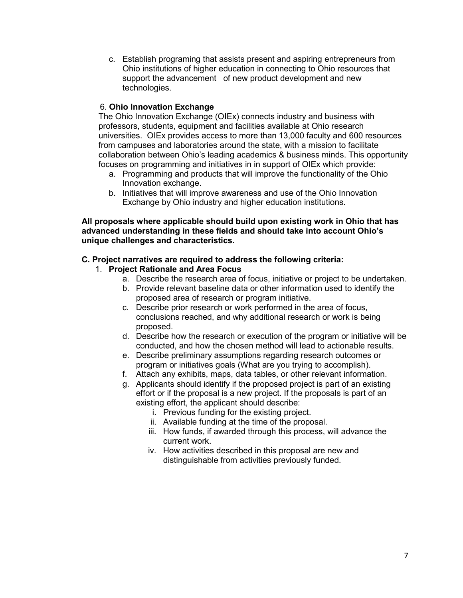c. Establish programing that assists present and aspiring entrepreneurs from Ohio institutions of higher education in connecting to Ohio resources that support the advancement of new product development and new technologies.

#### 6. **Ohio Innovation Exchange**

The Ohio Innovation Exchange (OIEx) connects industry and business with professors, students, equipment and facilities available at Ohio research universities. OIEx provides access to more than 13,000 faculty and 600 resources from campuses and laboratories around the state, with a mission to facilitate collaboration between Ohio's leading academics & business minds. This opportunity focuses on programming and initiatives in in support of OIEx which provide:

- a. Programming and products that will improve the functionality of the Ohio Innovation exchange.
- b. Initiatives that will improve awareness and use of the Ohio Innovation Exchange by Ohio industry and higher education institutions.

**All proposals where applicable should build upon existing work in Ohio that has advanced understanding in these fields and should take into account Ohio's unique challenges and characteristics.**

#### **C. Project narratives are required to address the following criteria:**

- 1. **Project Rationale and Area Focus**
	- a. Describe the research area of focus, initiative or project to be undertaken.
	- b. Provide relevant baseline data or other information used to identify the proposed area of research or program initiative.
	- c. Describe prior research or work performed in the area of focus, conclusions reached, and why additional research or work is being proposed.
	- d. Describe how the research or execution of the program or initiative will be conducted, and how the chosen method will lead to actionable results.
	- e. Describe preliminary assumptions regarding research outcomes or program or initiatives goals (What are you trying to accomplish).
	- f. Attach any exhibits, maps, data tables, or other relevant information.
	- g. Applicants should identify if the proposed project is part of an existing effort or if the proposal is a new project. If the proposals is part of an existing effort, the applicant should describe:
		- i. Previous funding for the existing project.
		- ii. Available funding at the time of the proposal.
		- iii. How funds, if awarded through this process, will advance the current work.
		- iv. How activities described in this proposal are new and distinguishable from activities previously funded.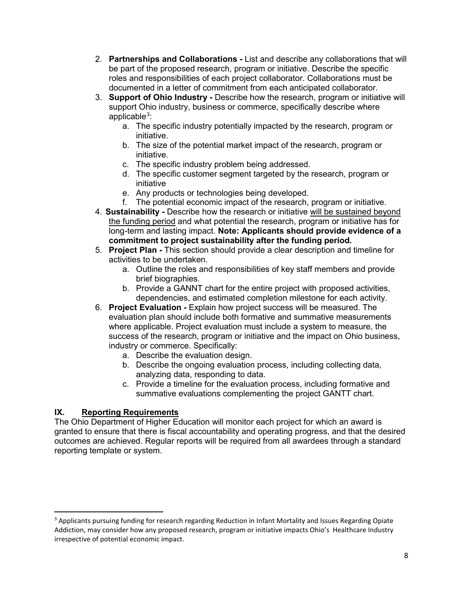- 2. **Partnerships and Collaborations -** List and describe any collaborations that will be part of the proposed research, program or initiative. Describe the specific roles and responsibilities of each project collaborator. Collaborations must be documented in a letter of commitment from each anticipated collaborator.
- 3. **Support of Ohio Industry -** Describe how the research, program or initiative will support Ohio industry, business or commerce, specifically describe where applicable $^3$  $^3$ :
	- a. The specific industry potentially impacted by the research, program or initiative.
	- b. The size of the potential market impact of the research, program or initiative.
	- c. The specific industry problem being addressed.
	- d. The specific customer segment targeted by the research, program or initiative
	- e. Any products or technologies being developed.
	- f. The potential economic impact of the research, program or initiative.
- 4. **Sustainability -** Describe how the research or initiative will be sustained beyond the funding period and what potential the research, program or initiative has for long-term and lasting impact. **Note: Applicants should provide evidence of a commitment to project sustainability after the funding period.**
- 5. **Project Plan** *-* This section should provide a clear description and timeline for activities to be undertaken.
	- a. Outline the roles and responsibilities of key staff members and provide brief biographies.
	- b. Provide a GANNT chart for the entire project with proposed activities, dependencies, and estimated completion milestone for each activity.
- 6. **Project Evaluation -** Explain how project success will be measured. The evaluation plan should include both formative and summative measurements where applicable. Project evaluation must include a system to measure, the success of the research, program or initiative and the impact on Ohio business, industry or commerce. Specifically:
	- a. Describe the evaluation design.
	- b. Describe the ongoing evaluation process, including collecting data, analyzing data, responding to data.
	- c. Provide a timeline for the evaluation process, including formative and summative evaluations complementing the project GANTT chart.

## **IX. Reporting Requirements**

The Ohio Department of Higher Education will monitor each project for which an award is granted to ensure that there is fiscal accountability and operating progress, and that the desired outcomes are achieved. Regular reports will be required from all awardees through a standard reporting template or system.

<span id="page-7-0"></span><sup>&</sup>lt;sup>3</sup> Applicants pursuing funding for research regarding Reduction in Infant Mortality and Issues Regarding Opiate Addiction, may consider how any proposed research, program or initiative impacts Ohio's Healthcare Industry irrespective of potential economic impact.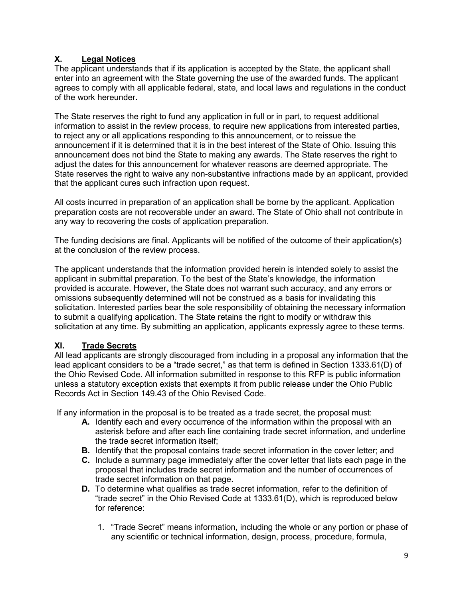# **X. Legal Notices**

The applicant understands that if its application is accepted by the State, the applicant shall enter into an agreement with the State governing the use of the awarded funds. The applicant agrees to comply with all applicable federal, state, and local laws and regulations in the conduct of the work hereunder.

The State reserves the right to fund any application in full or in part, to request additional information to assist in the review process, to require new applications from interested parties, to reject any or all applications responding to this announcement, or to reissue the announcement if it is determined that it is in the best interest of the State of Ohio. Issuing this announcement does not bind the State to making any awards. The State reserves the right to adjust the dates for this announcement for whatever reasons are deemed appropriate. The State reserves the right to waive any non-substantive infractions made by an applicant, provided that the applicant cures such infraction upon request.

All costs incurred in preparation of an application shall be borne by the applicant. Application preparation costs are not recoverable under an award. The State of Ohio shall not contribute in any way to recovering the costs of application preparation.

The funding decisions are final. Applicants will be notified of the outcome of their application(s) at the conclusion of the review process.

The applicant understands that the information provided herein is intended solely to assist the applicant in submittal preparation. To the best of the State's knowledge, the information provided is accurate. However, the State does not warrant such accuracy, and any errors or omissions subsequently determined will not be construed as a basis for invalidating this solicitation. Interested parties bear the sole responsibility of obtaining the necessary information to submit a qualifying application. The State retains the right to modify or withdraw this solicitation at any time. By submitting an application, applicants expressly agree to these terms.

## **XI. Trade Secrets**

All lead applicants are strongly discouraged from including in a proposal any information that the lead applicant considers to be a "trade secret," as that term is defined in Section 1333.61(D) of the Ohio Revised Code. All information submitted in response to this RFP is public information unless a statutory exception exists that exempts it from public release under the Ohio Public Records Act in Section 149.43 of the Ohio Revised Code.

If any information in the proposal is to be treated as a trade secret, the proposal must:

- **A.** Identify each and every occurrence of the information within the proposal with an asterisk before and after each line containing trade secret information, and underline the trade secret information itself;
- **B.** Identify that the proposal contains trade secret information in the cover letter; and
- **C.** Include a summary page immediately after the cover letter that lists each page in the proposal that includes trade secret information and the number of occurrences of trade secret information on that page.
- **D.** To determine what qualifies as trade secret information, refer to the definition of "trade secret" in the Ohio Revised Code at 1333.61(D), which is reproduced below for reference:
	- 1. "Trade Secret" means information, including the whole or any portion or phase of any scientific or technical information, design, process, procedure, formula,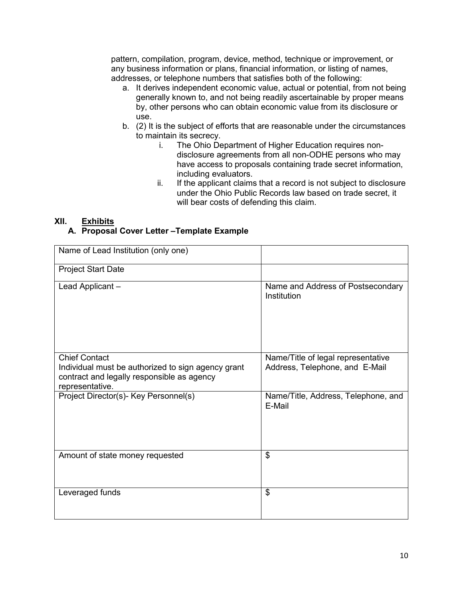pattern, compilation, program, device, method, technique or improvement, or any business information or plans, financial information, or listing of names, addresses, or telephone numbers that satisfies both of the following:

- a. It derives independent economic value, actual or potential, from not being generally known to, and not being readily ascertainable by proper means by, other persons who can obtain economic value from its disclosure or use.
- b. (2) It is the subject of efforts that are reasonable under the circumstances to maintain its secrecy.
	- i. The Ohio Department of Higher Education requires nondisclosure agreements from all non-ODHE persons who may have access to proposals containing trade secret information, including evaluators.
	- ii. If the applicant claims that a record is not subject to disclosure under the Ohio Public Records law based on trade secret, it will bear costs of defending this claim.

#### **XII. Exhibits A. Proposal Cover Letter –Template Example**

| Name of Lead Institution (only one)                                                                                                         |                                                                      |
|---------------------------------------------------------------------------------------------------------------------------------------------|----------------------------------------------------------------------|
| <b>Project Start Date</b>                                                                                                                   |                                                                      |
| Lead Applicant -                                                                                                                            | Name and Address of Postsecondary<br>Institution                     |
| <b>Chief Contact</b><br>Individual must be authorized to sign agency grant<br>contract and legally responsible as agency<br>representative. | Name/Title of legal representative<br>Address, Telephone, and E-Mail |
| Project Director(s)- Key Personnel(s)                                                                                                       | Name/Title, Address, Telephone, and<br>E-Mail                        |
| Amount of state money requested                                                                                                             | \$                                                                   |
| Leveraged funds                                                                                                                             | \$                                                                   |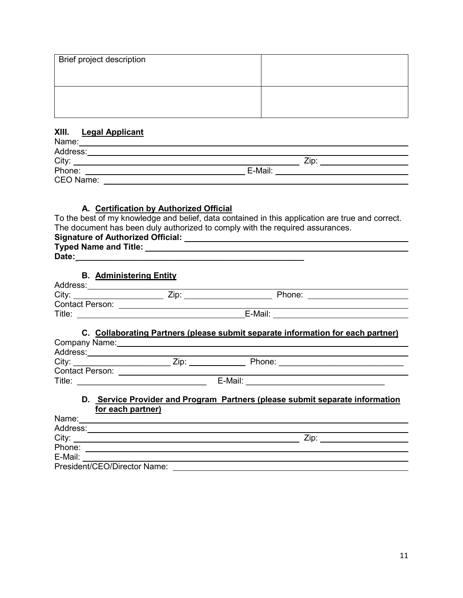| Brief project description |  |
|---------------------------|--|
|                           |  |
|                           |  |
|                           |  |
|                           |  |

#### **XIII. Legal Applicant**

| Name:     |         |  |
|-----------|---------|--|
| Address:  |         |  |
| City:     | Zip     |  |
| Phone:    | E-Mail: |  |
| CEO Name: |         |  |

# **A. Certification by Authorized Official**

To the best of my knowledge and belief, data contained in this application are true and correct. The document has been duly authorized to comply with the required assurances.

| Typed Name and Title: <u>Andrea Barbara and Title</u>                                                           |  |  |  |  |
|-----------------------------------------------------------------------------------------------------------------|--|--|--|--|
|                                                                                                                 |  |  |  |  |
|                                                                                                                 |  |  |  |  |
| <b>B.</b> Administering Entity                                                                                  |  |  |  |  |
|                                                                                                                 |  |  |  |  |
|                                                                                                                 |  |  |  |  |
|                                                                                                                 |  |  |  |  |
|                                                                                                                 |  |  |  |  |
|                                                                                                                 |  |  |  |  |
| C. Collaborating Partners (please submit separate information for each partner)                                 |  |  |  |  |
|                                                                                                                 |  |  |  |  |
| Company Name: example of the company of the company of the company of the company of the company of the company |  |  |  |  |
| Address: 2008 and 2008 and 2008 and 2008 and 2008 and 2008 and 2008 and 2018 and 2018 and 2018 and 2018 and 20  |  |  |  |  |
|                                                                                                                 |  |  |  |  |
|                                                                                                                 |  |  |  |  |
|                                                                                                                 |  |  |  |  |
|                                                                                                                 |  |  |  |  |
| D. Service Provider and Program Partners (please submit separate information                                    |  |  |  |  |
| for each partner)                                                                                               |  |  |  |  |
|                                                                                                                 |  |  |  |  |
|                                                                                                                 |  |  |  |  |
| City:                                                                                                           |  |  |  |  |
|                                                                                                                 |  |  |  |  |

Phone:

E-Mail: President/CEO/Director Name: William Changes and Changes and Changes and Changes and Changes and Changes and Changes and Changes and Changes and Changes and Changes and Changes and Changes and Changes and Changes and Chang